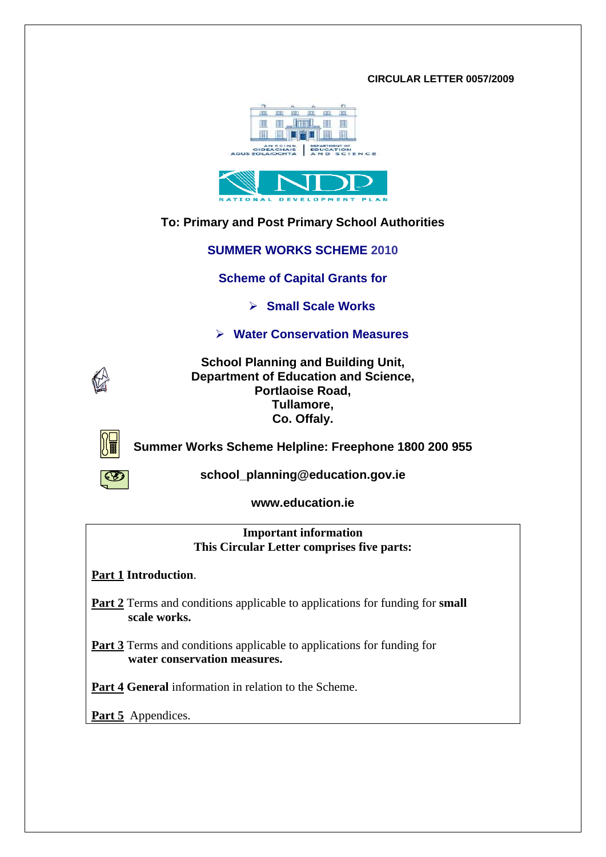#### **CIRCULAR LETTER 0057/2009**





# **To: Primary and Post Primary School Authorities**

**SUMMER WORKS SCHEME 2010** 

**Scheme of Capital Grants for** 

¾ **Small Scale Works** 

¾ **Water Conservation Measures** 



**School Planning and Building Unit, Department of Education and Science, Portlaoise Road, Tullamore, Co. Offaly.** 



**Summer Works Scheme Helpline: Freephone 1800 200 955** 



**school\_planning@education.gov.ie**

**www.education.ie** 

**Important information This Circular Letter comprises five parts:** 

**Part 1 Introduction**.

Part 2 Terms and conditions applicable to applications for funding for **small scale works.** 

**Part 3** Terms and conditions applicable to applications for funding for  **water conservation measures.** 

**Part 4 General** information in relation to the Scheme.

**Part 5** Appendices.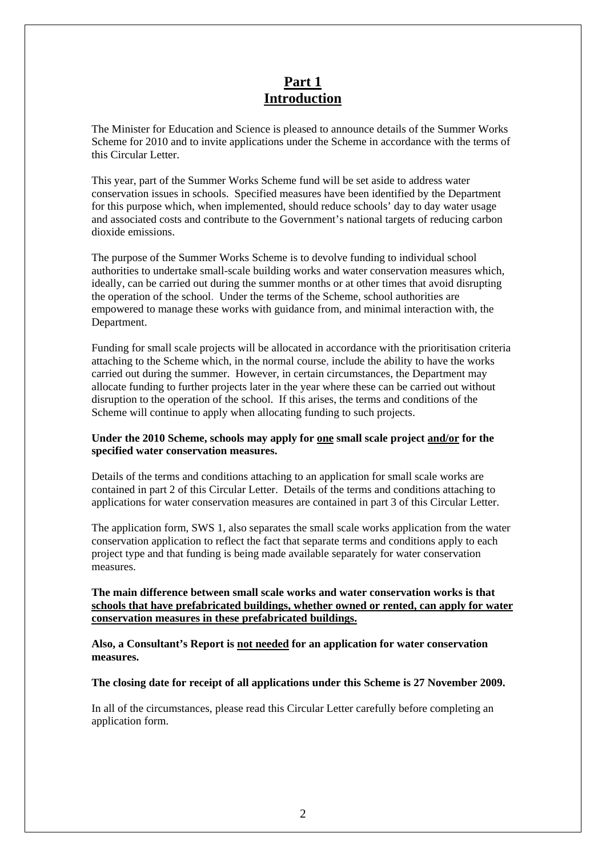# **Part 1 Introduction**

The Minister for Education and Science is pleased to announce details of the Summer Works Scheme for 2010 and to invite applications under the Scheme in accordance with the terms of this Circular Letter.

This year, part of the Summer Works Scheme fund will be set aside to address water conservation issues in schools. Specified measures have been identified by the Department for this purpose which, when implemented, should reduce schools' day to day water usage and associated costs and contribute to the Government's national targets of reducing carbon dioxide emissions.

The purpose of the Summer Works Scheme is to devolve funding to individual school authorities to undertake small-scale building works and water conservation measures which, ideally, can be carried out during the summer months or at other times that avoid disrupting the operation of the school. Under the terms of the Scheme, school authorities are empowered to manage these works with guidance from, and minimal interaction with, the Department.

Funding for small scale projects will be allocated in accordance with the prioritisation criteria attaching to the Scheme which, in the normal course, include the ability to have the works carried out during the summer. However, in certain circumstances, the Department may allocate funding to further projects later in the year where these can be carried out without disruption to the operation of the school. If this arises, the terms and conditions of the Scheme will continue to apply when allocating funding to such projects.

#### **Under the 2010 Scheme, schools may apply for one small scale project and/or for the specified water conservation measures.**

Details of the terms and conditions attaching to an application for small scale works are contained in part 2 of this Circular Letter. Details of the terms and conditions attaching to applications for water conservation measures are contained in part 3 of this Circular Letter.

The application form, SWS 1, also separates the small scale works application from the water conservation application to reflect the fact that separate terms and conditions apply to each project type and that funding is being made available separately for water conservation measures.

#### **The main difference between small scale works and water conservation works is that schools that have prefabricated buildings, whether owned or rented, can apply for water conservation measures in these prefabricated buildings.**

**Also, a Consultant's Report is not needed for an application for water conservation measures.** 

#### **The closing date for receipt of all applications under this Scheme is 27 November 2009.**

In all of the circumstances, please read this Circular Letter carefully before completing an application form.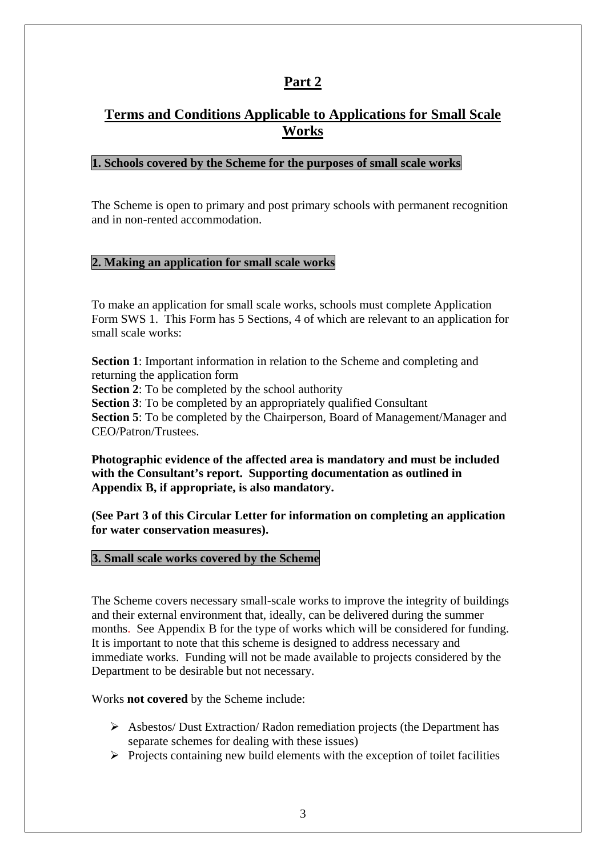# **Terms and Conditions Applicable to Applications for Small Scale Works**

### **1. Schools covered by the Scheme for the purposes of small scale works**

The Scheme is open to primary and post primary schools with permanent recognition and in non-rented accommodation.

### **2. Making an application for small scale works**

To make an application for small scale works, schools must complete Application Form SWS 1. This Form has 5 Sections, 4 of which are relevant to an application for small scale works:

**Section 1**: Important information in relation to the Scheme and completing and returning the application form **Section 2**: To be completed by the school authority **Section 3**: To be completed by an appropriately qualified Consultant **Section 5**: To be completed by the Chairperson, Board of Management/Manager and CEO/Patron/Trustees.

**Photographic evidence of the affected area is mandatory and must be included with the Consultant's report. Supporting documentation as outlined in Appendix B, if appropriate, is also mandatory.** 

**(See Part 3 of this Circular Letter for information on completing an application for water conservation measures).** 

#### **3. Small scale works covered by the Scheme**

The Scheme covers necessary small-scale works to improve the integrity of buildings and their external environment that, ideally, can be delivered during the summer months. See Appendix B for the type of works which will be considered for funding. It is important to note that this scheme is designed to address necessary and immediate works. Funding will not be made available to projects considered by the Department to be desirable but not necessary.

Works **not covered** by the Scheme include:

- ¾ Asbestos/ Dust Extraction/ Radon remediation projects (the Department has separate schemes for dealing with these issues)
- $\triangleright$  Projects containing new build elements with the exception of toilet facilities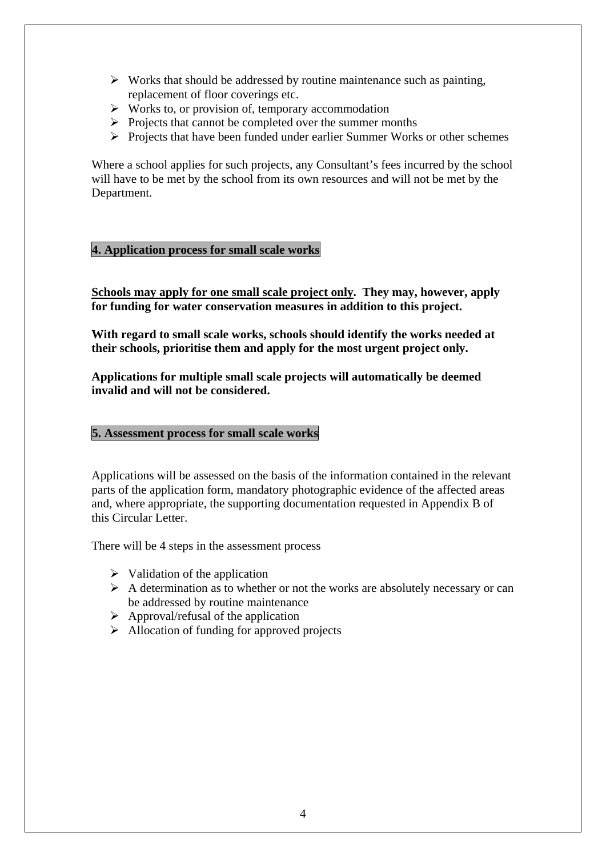- $\triangleright$  Works that should be addressed by routine maintenance such as painting, replacement of floor coverings etc.
- $\triangleright$  Works to, or provision of, temporary accommodation
- $\triangleright$  Projects that cannot be completed over the summer months
- $\triangleright$  Projects that have been funded under earlier Summer Works or other schemes

Where a school applies for such projects, any Consultant's fees incurred by the school will have to be met by the school from its own resources and will not be met by the Department.

#### **4. Application process for small scale works**

**Schools may apply for one small scale project only. They may, however, apply for funding for water conservation measures in addition to this project.** 

**With regard to small scale works, schools should identify the works needed at their schools, prioritise them and apply for the most urgent project only.** 

**Applications for multiple small scale projects will automatically be deemed invalid and will not be considered.** 

#### **5. Assessment process for small scale works**

Applications will be assessed on the basis of the information contained in the relevant parts of the application form, mandatory photographic evidence of the affected areas and, where appropriate, the supporting documentation requested in Appendix B of this Circular Letter.

There will be 4 steps in the assessment process

- $\triangleright$  Validation of the application
- $\triangleright$  A determination as to whether or not the works are absolutely necessary or can be addressed by routine maintenance
- $\triangleright$  Approval/refusal of the application
- $\triangleright$  Allocation of funding for approved projects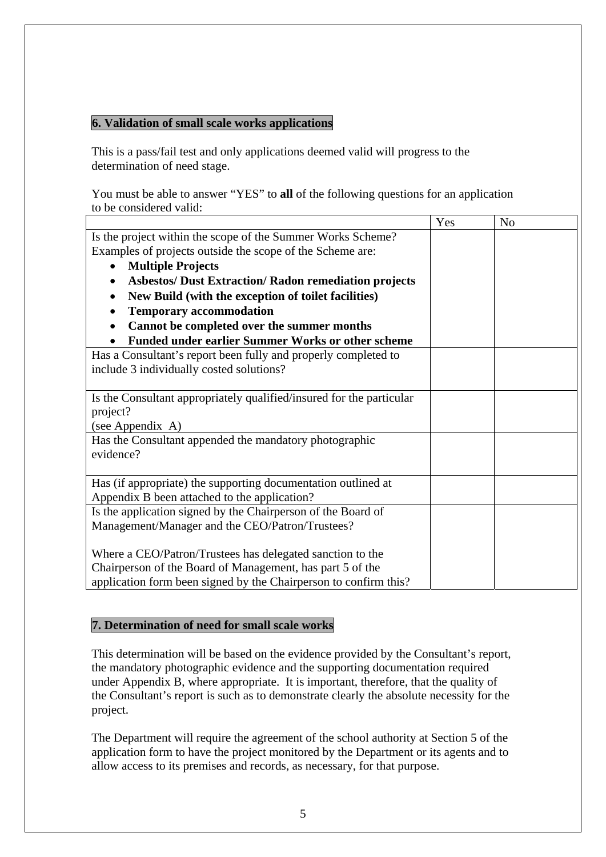# **6. Validation of small scale works applications**

This is a pass/fail test and only applications deemed valid will progress to the determination of need stage.

You must be able to answer "YES" to **all** of the following questions for an application to be considered valid:

|                                                                      | Yes | N <sub>0</sub> |
|----------------------------------------------------------------------|-----|----------------|
| Is the project within the scope of the Summer Works Scheme?          |     |                |
| Examples of projects outside the scope of the Scheme are:            |     |                |
| <b>Multiple Projects</b><br>$\bullet$                                |     |                |
| <b>Asbestos/ Dust Extraction/ Radon remediation projects</b>         |     |                |
| New Build (with the exception of toilet facilities)                  |     |                |
| <b>Temporary accommodation</b>                                       |     |                |
| Cannot be completed over the summer months                           |     |                |
| <b>Funded under earlier Summer Works or other scheme</b>             |     |                |
| Has a Consultant's report been fully and properly completed to       |     |                |
| include 3 individually costed solutions?                             |     |                |
|                                                                      |     |                |
| Is the Consultant appropriately qualified/insured for the particular |     |                |
| project?                                                             |     |                |
| (see Appendix A)                                                     |     |                |
| Has the Consultant appended the mandatory photographic               |     |                |
| evidence?                                                            |     |                |
|                                                                      |     |                |
| Has (if appropriate) the supporting documentation outlined at        |     |                |
| Appendix B been attached to the application?                         |     |                |
| Is the application signed by the Chairperson of the Board of         |     |                |
| Management/Manager and the CEO/Patron/Trustees?                      |     |                |
|                                                                      |     |                |
| Where a CEO/Patron/Trustees has delegated sanction to the            |     |                |
| Chairperson of the Board of Management, has part 5 of the            |     |                |
| application form been signed by the Chairperson to confirm this?     |     |                |

## **7. Determination of need for small scale works**

This determination will be based on the evidence provided by the Consultant's report, the mandatory photographic evidence and the supporting documentation required under Appendix B, where appropriate. It is important, therefore, that the quality of the Consultant's report is such as to demonstrate clearly the absolute necessity for the project.

The Department will require the agreement of the school authority at Section 5 of the application form to have the project monitored by the Department or its agents and to allow access to its premises and records, as necessary, for that purpose.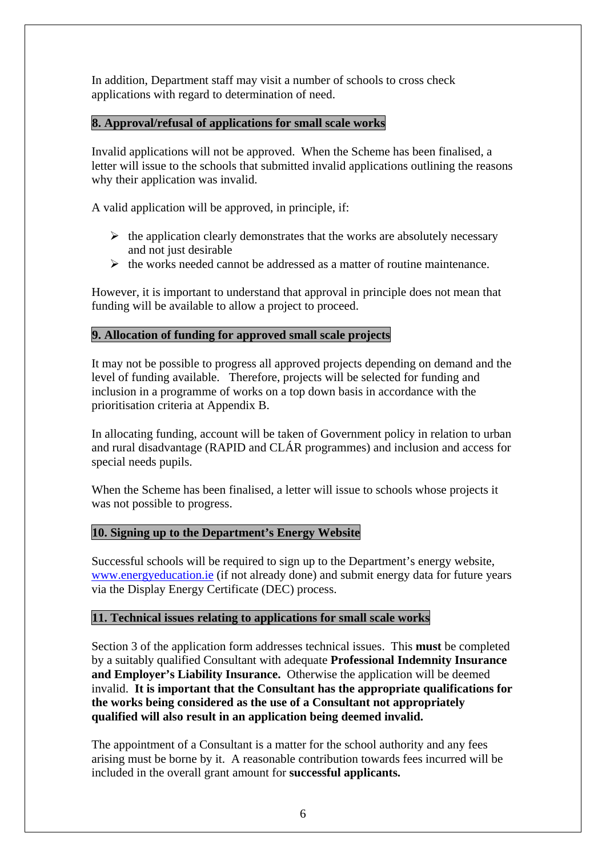In addition, Department staff may visit a number of schools to cross check applications with regard to determination of need.

## **8. Approval/refusal of applications for small scale works**

Invalid applications will not be approved. When the Scheme has been finalised, a letter will issue to the schools that submitted invalid applications outlining the reasons why their application was invalid.

A valid application will be approved, in principle, if:

- $\triangleright$  the application clearly demonstrates that the works are absolutely necessary and not just desirable
- $\triangleright$  the works needed cannot be addressed as a matter of routine maintenance.

However, it is important to understand that approval in principle does not mean that funding will be available to allow a project to proceed.

# **9. Allocation of funding for approved small scale projects**

It may not be possible to progress all approved projects depending on demand and the level of funding available. Therefore, projects will be selected for funding and inclusion in a programme of works on a top down basis in accordance with the prioritisation criteria at Appendix B.

In allocating funding, account will be taken of Government policy in relation to urban and rural disadvantage (RAPID and CLÁR programmes) and inclusion and access for special needs pupils.

When the Scheme has been finalised, a letter will issue to schools whose projects it was not possible to progress.

## **10. Signing up to the Department's Energy Website**

Successful schools will be required to sign up to the Department's energy website, [www.energyeducation.ie](http://www.energyeducation.ie/) (if not already done) and submit energy data for future years via the Display Energy Certificate (DEC) process.

## **11. Technical issues relating to applications for small scale works**

Section 3 of the application form addresses technical issues. This **must** be completed by a suitably qualified Consultant with adequate **Professional Indemnity Insurance and Employer's Liability Insurance.** Otherwise the application will be deemed invalid. **It is important that the Consultant has the appropriate qualifications for the works being considered as the use of a Consultant not appropriately qualified will also result in an application being deemed invalid.** 

The appointment of a Consultant is a matter for the school authority and any fees arising must be borne by it. A reasonable contribution towards fees incurred will be included in the overall grant amount for **successful applicants.**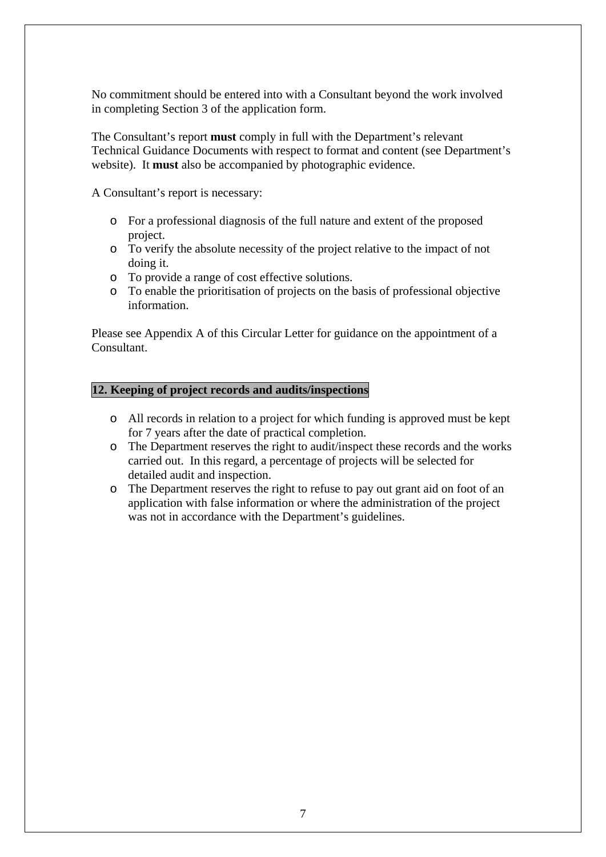No commitment should be entered into with a Consultant beyond the work involved in completing Section 3 of the application form.

The Consultant's report **must** comply in full with the Department's relevant Technical Guidance Documents with respect to format and content (see Department's website). It **must** also be accompanied by photographic evidence.

A Consultant's report is necessary:

- o For a professional diagnosis of the full nature and extent of the proposed project.
- o To verify the absolute necessity of the project relative to the impact of not doing it.
- o To provide a range of cost effective solutions.
- o To enable the prioritisation of projects on the basis of professional objective information.

Please see Appendix A of this Circular Letter for guidance on the appointment of a Consultant.

### **12. Keeping of project records and audits/inspections**

- o All records in relation to a project for which funding is approved must be kept for 7 years after the date of practical completion.
- o The Department reserves the right to audit/inspect these records and the works carried out. In this regard, a percentage of projects will be selected for detailed audit and inspection.
- o The Department reserves the right to refuse to pay out grant aid on foot of an application with false information or where the administration of the project was not in accordance with the Department's guidelines.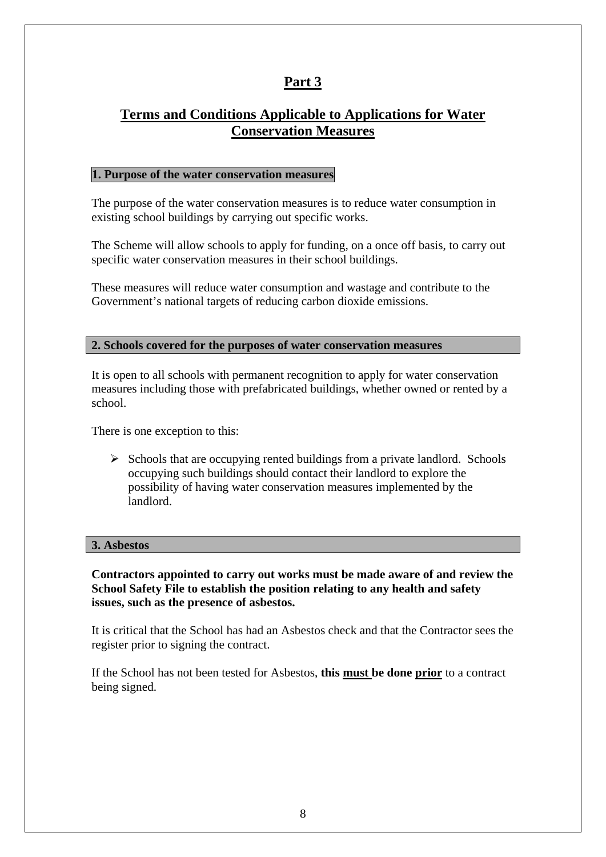# **Terms and Conditions Applicable to Applications for Water Conservation Measures**

### **1. Purpose of the water conservation measures**

The purpose of the water conservation measures is to reduce water consumption in existing school buildings by carrying out specific works.

The Scheme will allow schools to apply for funding, on a once off basis, to carry out specific water conservation measures in their school buildings.

These measures will reduce water consumption and wastage and contribute to the Government's national targets of reducing carbon dioxide emissions.

#### **2. Schools covered for the purposes of water conservation measures**

It is open to all schools with permanent recognition to apply for water conservation measures including those with prefabricated buildings, whether owned or rented by a school.

There is one exception to this:

 $\triangleright$  Schools that are occupying rented buildings from a private landlord. Schools occupying such buildings should contact their landlord to explore the possibility of having water conservation measures implemented by the landlord.

#### **3. Asbestos**

**Contractors appointed to carry out works must be made aware of and review the School Safety File to establish the position relating to any health and safety issues, such as the presence of asbestos.**

It is critical that the School has had an Asbestos check and that the Contractor sees the register prior to signing the contract.

If the School has not been tested for Asbestos, **this must be done prior** to a contract being signed.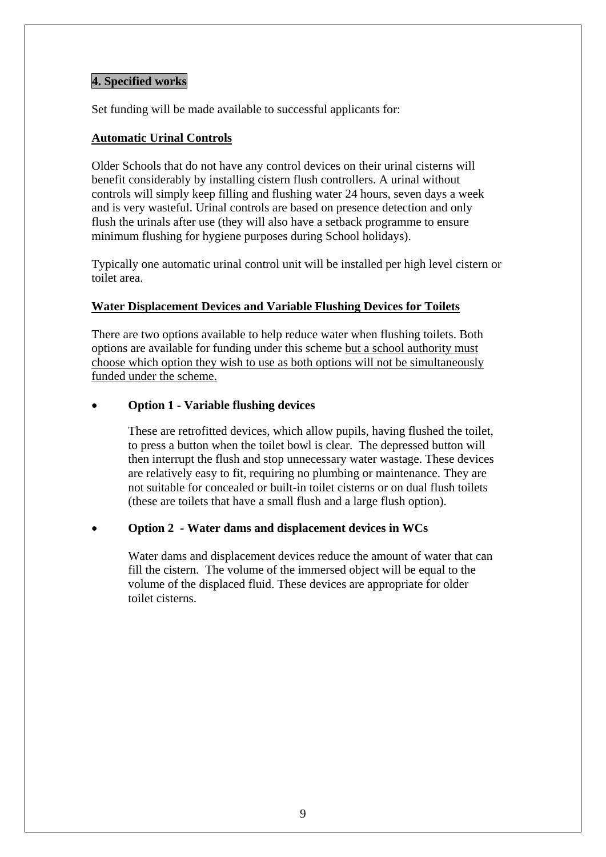### **4. Specified works**

Set funding will be made available to successful applicants for:

### **Automatic Urinal Controls**

Older Schools that do not have any control devices on their urinal cisterns will benefit considerably by installing cistern flush controllers. A urinal without controls will simply keep filling and flushing water 24 hours, seven days a week and is very wasteful. Urinal controls are based on presence detection and only flush the urinals after use (they will also have a setback programme to ensure minimum flushing for hygiene purposes during School holidays).

Typically one automatic urinal control unit will be installed per high level cistern or toilet area.

### **Water Displacement Devices and Variable Flushing Devices for Toilets**

There are two options available to help reduce water when flushing toilets. Both options are available for funding under this scheme but a school authority must choose which option they wish to use as both options will not be simultaneously funded under the scheme.

### • **Option 1 - Variable flushing devices**

These are retrofitted devices, which allow pupils, having flushed the toilet, to press a button when the toilet bowl is clear. The depressed button will then interrupt the flush and stop unnecessary water wastage. These devices are relatively easy to fit, requiring no plumbing or maintenance. They are not suitable for concealed or built-in toilet cisterns or on dual flush toilets (these are toilets that have a small flush and a large flush option).

## • **Option 2 - Water dams and displacement devices in WCs**

Water dams and displacement devices reduce the amount of water that can fill the cistern. The volume of the immersed object will be equal to the volume of the displaced fluid. These devices are appropriate for older toilet cisterns.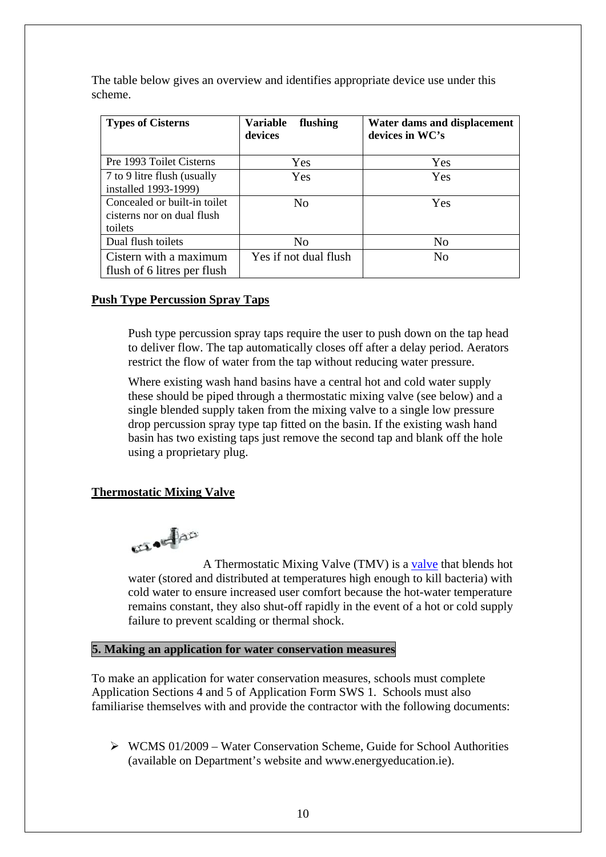The table below gives an overview and identifies appropriate device use under this scheme.

| <b>Types of Cisterns</b>                                              | <b>Variable</b><br>flushing<br>devices | Water dams and displacement<br>devices in WC's |
|-----------------------------------------------------------------------|----------------------------------------|------------------------------------------------|
| Pre 1993 Toilet Cisterns                                              | Yes                                    | Yes                                            |
| 7 to 9 litre flush (usually<br>installed 1993-1999)                   | Yes                                    | Yes                                            |
| Concealed or built-in toilet<br>cisterns nor on dual flush<br>toilets | No                                     | Yes                                            |
| Dual flush toilets                                                    | No                                     | N <sub>0</sub>                                 |
| Cistern with a maximum<br>flush of 6 litres per flush                 | Yes if not dual flush                  | N <sub>0</sub>                                 |

### **Push Type Percussion Spray Taps**

Push type percussion spray taps require the user to push down on the tap head to deliver flow. The tap automatically closes off after a delay period. Aerators restrict the flow of water from the tap without reducing water pressure.

Where existing wash hand basins have a central hot and cold water supply these should be piped through a thermostatic mixing valve (see below) and a single blended supply taken from the mixing valve to a single low pressure drop percussion spray type tap fitted on the basin. If the existing wash hand basin has two existing taps just remove the second tap and blank off the hole using a proprietary plug.

#### **Thermostatic Mixing Valve**

**SELAND** 

 A Thermostatic Mixing Valve (TMV) is a [valve](http://en.wikipedia.org/wiki/Valve) that blends hot water (stored and distributed at temperatures high enough to kill bacteria) with cold water to ensure increased user comfort because the hot-water temperature remains constant, they also shut-off rapidly in the event of a hot or cold supply failure to prevent scalding or thermal shock.

#### **5. Making an application for water conservation measures**

To make an application for water conservation measures, schools must complete Application Sections 4 and 5 of Application Form SWS 1. Schools must also familiarise themselves with and provide the contractor with the following documents:

 $\triangleright$  WCMS 01/2009 – Water Conservation Scheme, Guide for School Authorities (available on Department's website and www.energyeducation.ie).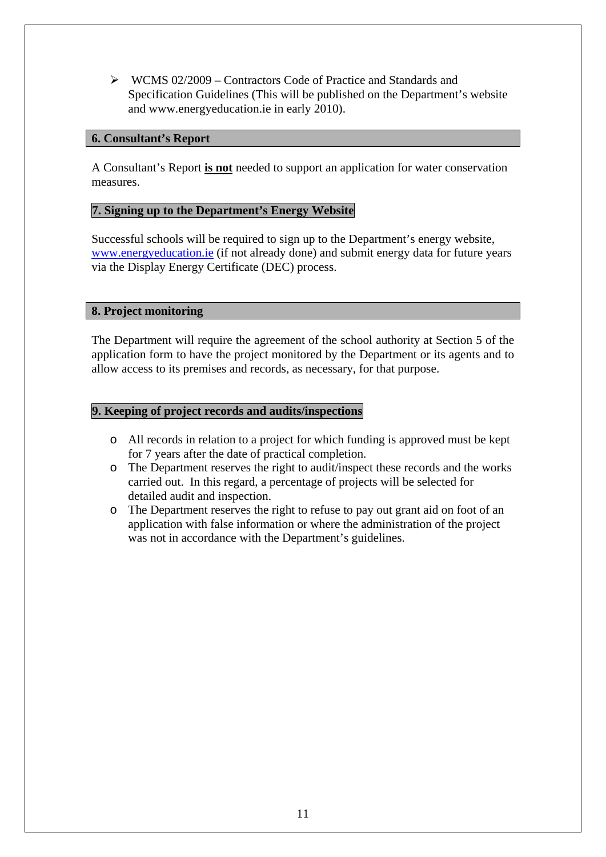¾ WCMS 02/2009 – Contractors Code of Practice and Standards and Specification Guidelines (This will be published on the Department's website and www.energyeducation.ie in early 2010).

### **6. Consultant's Report**

A Consultant's Report **is not** needed to support an application for water conservation measures.

### **7. Signing up to the Department's Energy Website**

Successful schools will be required to sign up to the Department's energy website, [www.energyeducation.ie](http://www.energyeducation.ie/) (if not already done) and submit energy data for future years via the Display Energy Certificate (DEC) process.

### **8. Project monitoring**

The Department will require the agreement of the school authority at Section 5 of the application form to have the project monitored by the Department or its agents and to allow access to its premises and records, as necessary, for that purpose.

#### **9. Keeping of project records and audits/inspections**

- o All records in relation to a project for which funding is approved must be kept for 7 years after the date of practical completion.
- o The Department reserves the right to audit/inspect these records and the works carried out. In this regard, a percentage of projects will be selected for detailed audit and inspection.
- o The Department reserves the right to refuse to pay out grant aid on foot of an application with false information or where the administration of the project was not in accordance with the Department's guidelines.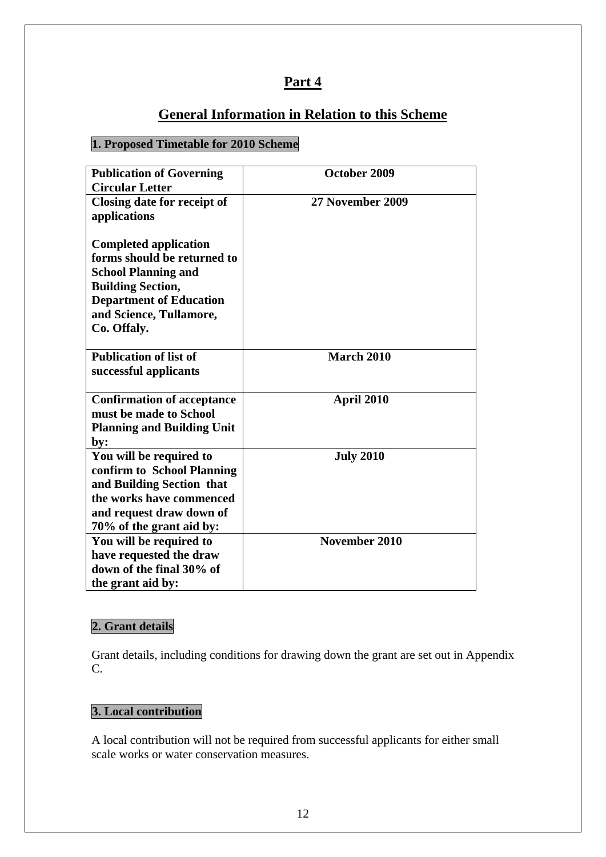# **General Information in Relation to this Scheme**

# **1. Proposed Timetable for 2010 Scheme**

| <b>Publication of Governing</b>   | October 2009      |
|-----------------------------------|-------------------|
| <b>Circular Letter</b>            |                   |
| Closing date for receipt of       | 27 November 2009  |
| applications                      |                   |
|                                   |                   |
| <b>Completed application</b>      |                   |
| forms should be returned to       |                   |
| <b>School Planning and</b>        |                   |
| <b>Building Section,</b>          |                   |
| <b>Department of Education</b>    |                   |
| and Science, Tullamore,           |                   |
| Co. Offaly.                       |                   |
| <b>Publication of list of</b>     | <b>March 2010</b> |
|                                   |                   |
| successful applicants             |                   |
| <b>Confirmation of acceptance</b> | April 2010        |
| must be made to School            |                   |
| <b>Planning and Building Unit</b> |                   |
| by:                               |                   |
| You will be required to           | <b>July 2010</b>  |
| confirm to School Planning        |                   |
| and Building Section that         |                   |
| the works have commenced          |                   |
| and request draw down of          |                   |
| 70% of the grant aid by:          |                   |
| You will be required to           | November 2010     |
| have requested the draw           |                   |
| down of the final 30% of          |                   |
| the grant aid by:                 |                   |

# **2. Grant details**

Grant details, including conditions for drawing down the grant are set out in Appendix C.

# **3. Local contribution**

A local contribution will not be required from successful applicants for either small scale works or water conservation measures.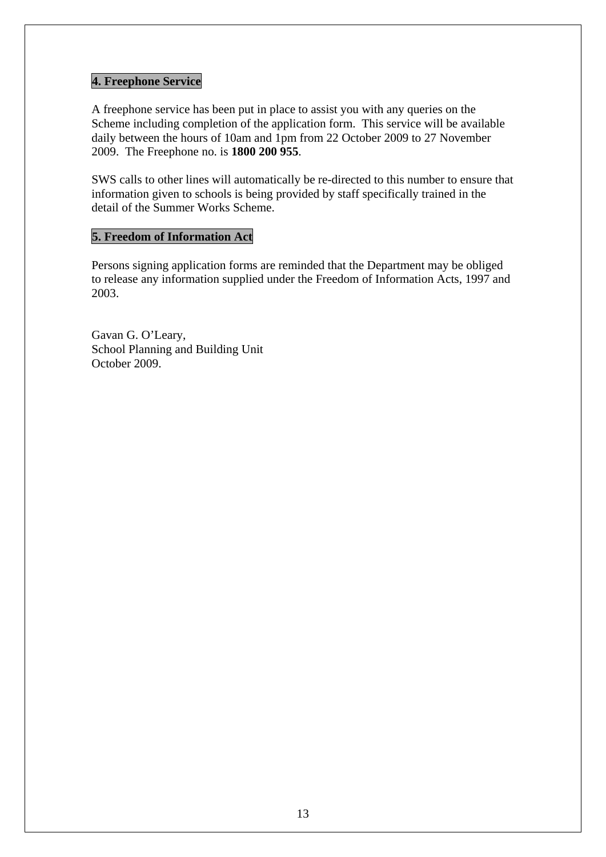# **4. Freephone Service**

A freephone service has been put in place to assist you with any queries on the Scheme including completion of the application form. This service will be available daily between the hours of 10am and 1pm from 22 October 2009 to 27 November 2009. The Freephone no. is **1800 200 955**.

SWS calls to other lines will automatically be re-directed to this number to ensure that information given to schools is being provided by staff specifically trained in the detail of the Summer Works Scheme.

## **5. Freedom of Information Act**

Persons signing application forms are reminded that the Department may be obliged to release any information supplied under the Freedom of Information Acts, 1997 and 2003.

Gavan G. O'Leary, School Planning and Building Unit October 2009.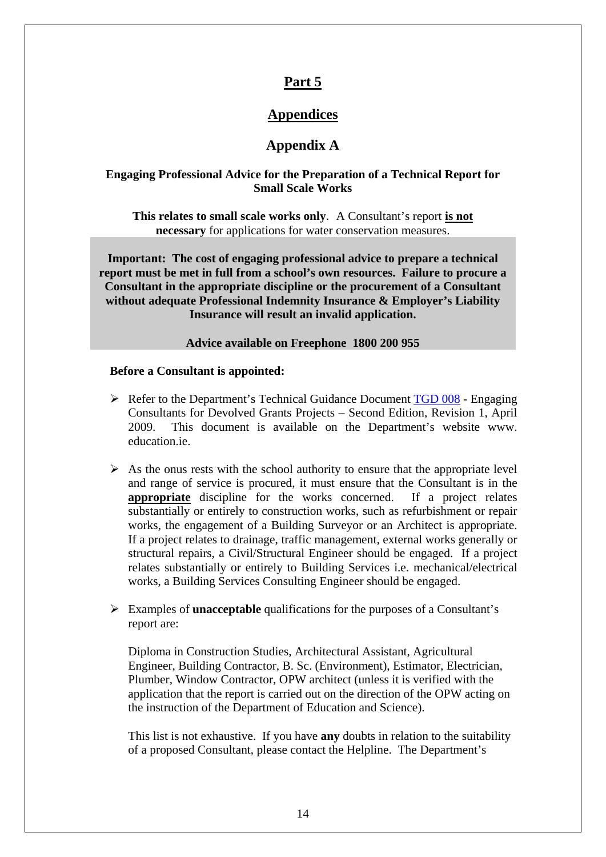# **Appendices**

# **Appendix A**

### **Engaging Professional Advice for the Preparation of a Technical Report for Small Scale Works**

**This relates to small scale works only**. A Consultant's report **is not necessary** for applications for water conservation measures.

**Important: The cost of engaging professional advice to prepare a technical report must be met in full from a school's own resources. Failure to procure a Consultant in the appropriate discipline or the procurement of a Consultant without adequate Professional Indemnity Insurance & Employer's Liability Insurance will result an invalid application.** 

**Advice available on Freephone 1800 200 955** 

#### **Before a Consultant is appointed:**

- $\triangleright$  Refer to the Department's Technical Guidance Document [TGD 008](http://www.education.ie/servlet/blobservlet/bu_tgd_008.pdf) Engaging Consultants for Devolved Grants Projects – Second Edition, Revision 1, April 2009. This document is available on the Department's website www. education.ie.
- $\triangleright$  As the onus rests with the school authority to ensure that the appropriate level and range of service is procured, it must ensure that the Consultant is in the **appropriate** discipline for the works concerned. If a project relates substantially or entirely to construction works, such as refurbishment or repair works, the engagement of a Building Surveyor or an Architect is appropriate. If a project relates to drainage, traffic management, external works generally or structural repairs, a Civil/Structural Engineer should be engaged. If a project relates substantially or entirely to Building Services i.e. mechanical/electrical works, a Building Services Consulting Engineer should be engaged.
- ¾ Examples of **unacceptable** qualifications for the purposes of a Consultant's report are:

Diploma in Construction Studies, Architectural Assistant, Agricultural Engineer, Building Contractor, B. Sc. (Environment), Estimator, Electrician, Plumber, Window Contractor, OPW architect (unless it is verified with the application that the report is carried out on the direction of the OPW acting on the instruction of the Department of Education and Science).

This list is not exhaustive. If you have **any** doubts in relation to the suitability of a proposed Consultant, please contact the Helpline. The Department's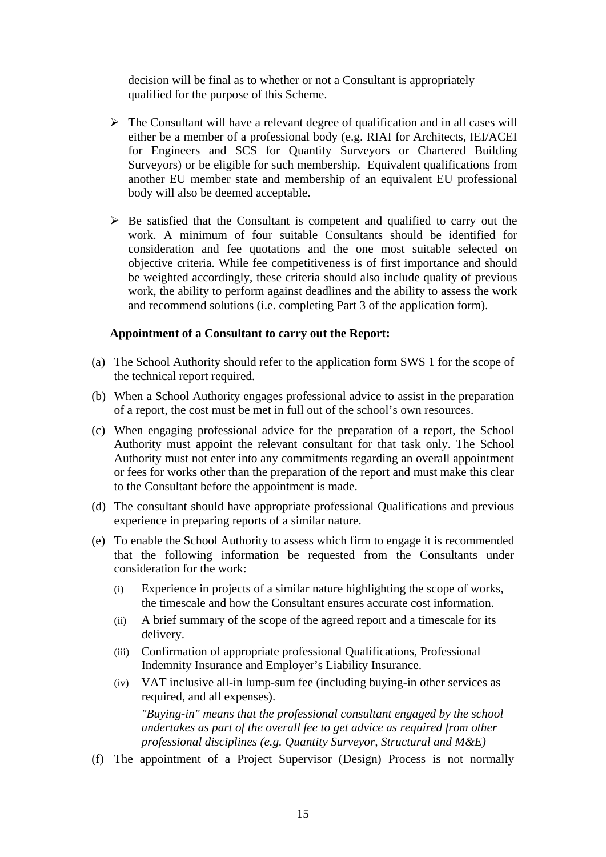decision will be final as to whether or not a Consultant is appropriately qualified for the purpose of this Scheme.

- $\triangleright$  The Consultant will have a relevant degree of qualification and in all cases will either be a member of a professional body (e.g. RIAI for Architects, IEI/ACEI for Engineers and SCS for Quantity Surveyors or Chartered Building Surveyors) or be eligible for such membership. Equivalent qualifications from another EU member state and membership of an equivalent EU professional body will also be deemed acceptable.
- $\triangleright$  Be satisfied that the Consultant is competent and qualified to carry out the work. A minimum of four suitable Consultants should be identified for consideration and fee quotations and the one most suitable selected on objective criteria. While fee competitiveness is of first importance and should be weighted accordingly, these criteria should also include quality of previous work, the ability to perform against deadlines and the ability to assess the work and recommend solutions (i.e. completing Part 3 of the application form).

#### **Appointment of a Consultant to carry out the Report:**

- (a) The School Authority should refer to the application form SWS 1 for the scope of the technical report required.
- (b) When a School Authority engages professional advice to assist in the preparation of a report, the cost must be met in full out of the school's own resources.
- (c) When engaging professional advice for the preparation of a report, the School Authority must appoint the relevant consultant for that task only. The School Authority must not enter into any commitments regarding an overall appointment or fees for works other than the preparation of the report and must make this clear to the Consultant before the appointment is made.
- (d) The consultant should have appropriate professional Qualifications and previous experience in preparing reports of a similar nature.
- (e) To enable the School Authority to assess which firm to engage it is recommended that the following information be requested from the Consultants under consideration for the work:
	- (i) Experience in projects of a similar nature highlighting the scope of works, the timescale and how the Consultant ensures accurate cost information.
	- (ii) A brief summary of the scope of the agreed report and a timescale for its delivery.
	- (iii) Confirmation of appropriate professional Qualifications, Professional Indemnity Insurance and Employer's Liability Insurance.
	- (iv) VAT inclusive all-in lump-sum fee (including buying-in other services as required, and all expenses). *"Buying-in" means that the professional consultant engaged by the school*

*undertakes as part of the overall fee to get advice as required from other professional disciplines (e.g. Quantity Surveyor, Structural and M&E)* 

(f) The appointment of a Project Supervisor (Design) Process is not normally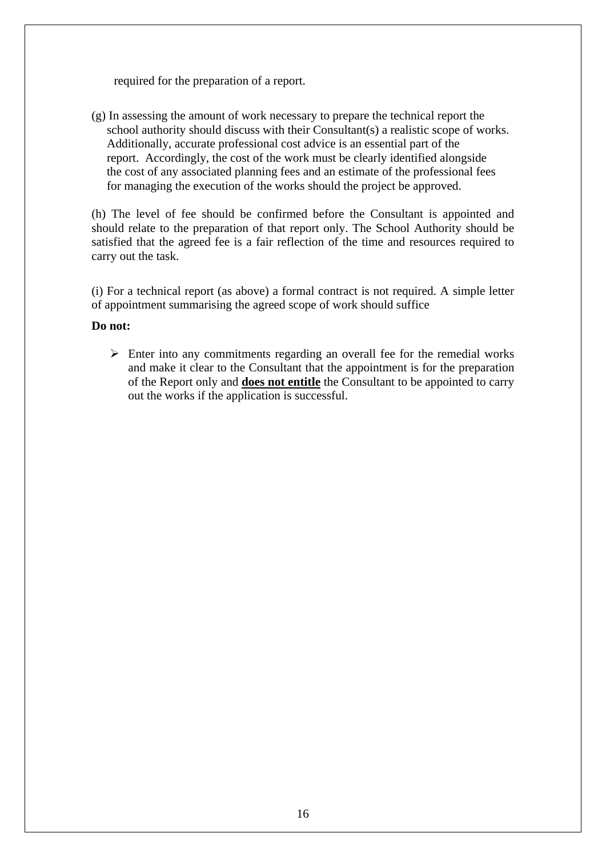required for the preparation of a report.

(g) In assessing the amount of work necessary to prepare the technical report the school authority should discuss with their Consultant(s) a realistic scope of works. Additionally, accurate professional cost advice is an essential part of the report. Accordingly, the cost of the work must be clearly identified alongside the cost of any associated planning fees and an estimate of the professional fees for managing the execution of the works should the project be approved.

(h) The level of fee should be confirmed before the Consultant is appointed and should relate to the preparation of that report only. The School Authority should be satisfied that the agreed fee is a fair reflection of the time and resources required to carry out the task.

(i) For a technical report (as above) a formal contract is not required. A simple letter of appointment summarising the agreed scope of work should suffice

#### **Do not:**

 $\triangleright$  Enter into any commitments regarding an overall fee for the remedial works and make it clear to the Consultant that the appointment is for the preparation of the Report only and **does not entitle** the Consultant to be appointed to carry out the works if the application is successful.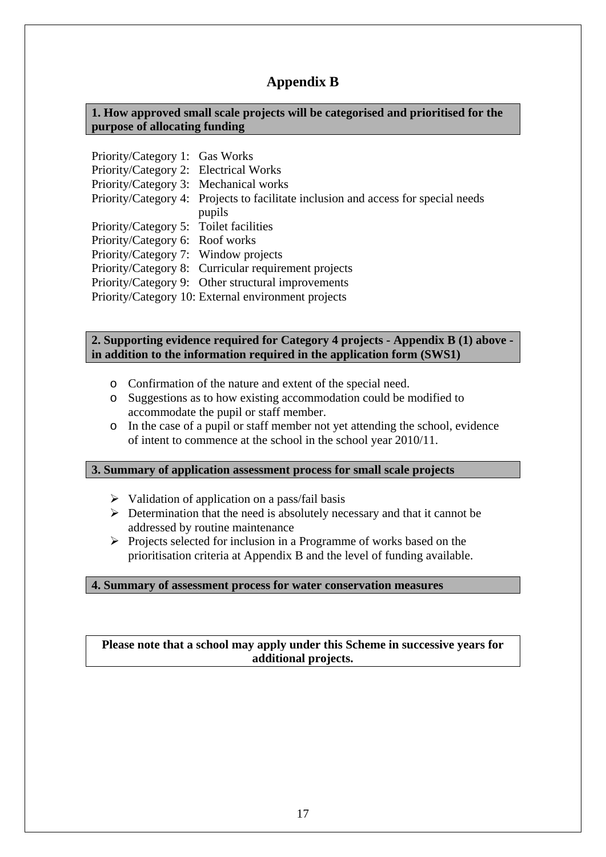# **Appendix B**

### **1. How approved small scale projects will be categorised and prioritised for the purpose of allocating funding**

| Priority/Category 1: Gas Works         |                                                                                    |
|----------------------------------------|------------------------------------------------------------------------------------|
| Priority/Category 2: Electrical Works  |                                                                                    |
| Priority/Category 3: Mechanical works  |                                                                                    |
|                                        | Priority/Category 4: Projects to facilitate inclusion and access for special needs |
|                                        | pupils                                                                             |
| Priority/Category 5: Toilet facilities |                                                                                    |
| Priority/Category 6: Roof works        |                                                                                    |
| Priority/Category 7: Window projects   |                                                                                    |
|                                        | Priority/Category 8: Curricular requirement projects                               |
|                                        | Priority/Category 9: Other structural improvements                                 |
|                                        | Priority/Category 10: External environment projects                                |

### **2. Supporting evidence required for Category 4 projects - Appendix B (1) above in addition to the information required in the application form (SWS1)**

- o Confirmation of the nature and extent of the special need.
- o Suggestions as to how existing accommodation could be modified to accommodate the pupil or staff member.
- o In the case of a pupil or staff member not yet attending the school, evidence of intent to commence at the school in the school year 2010/11.

#### **3. Summary of application assessment process for small scale projects**

- $\triangleright$  Validation of application on a pass/fail basis
- $\triangleright$  Determination that the need is absolutely necessary and that it cannot be addressed by routine maintenance
- $\triangleright$  Projects selected for inclusion in a Programme of works based on the prioritisation criteria at Appendix B and the level of funding available.

#### **4. Summary of assessment process for water conservation measures**

**Please note that a school may apply under this Scheme in successive years for additional projects.**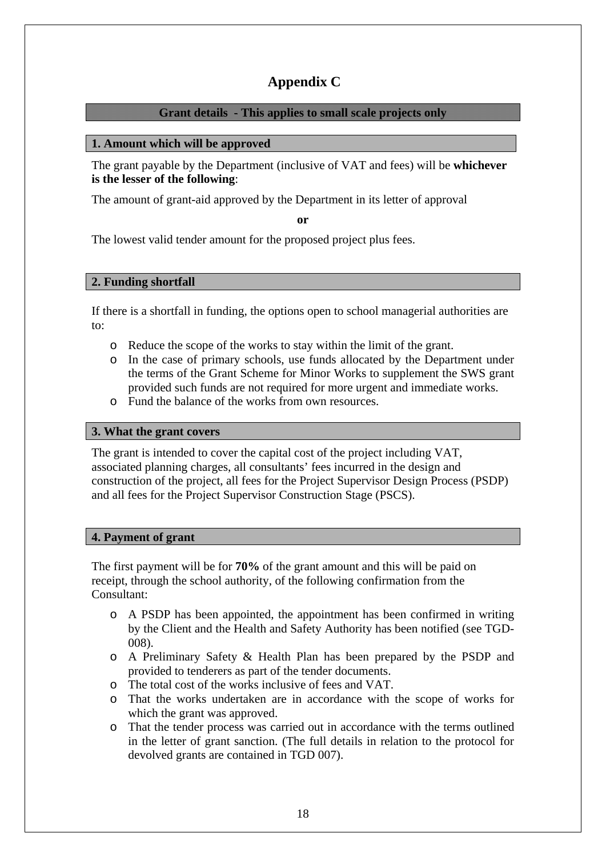# **Appendix C**

### **Grant details - This applies to small scale projects only**

### **1. Amount which will be approved**

The grant payable by the Department (inclusive of VAT and fees) will be **whichever is the lesser of the following**:

The amount of grant-aid approved by the Department in its letter of approval

**or** 

The lowest valid tender amount for the proposed project plus fees.

### **2. Funding shortfall**

If there is a shortfall in funding, the options open to school managerial authorities are to:

- o Reduce the scope of the works to stay within the limit of the grant.
- o In the case of primary schools, use funds allocated by the Department under the terms of the Grant Scheme for Minor Works to supplement the SWS grant provided such funds are not required for more urgent and immediate works.
- o Fund the balance of the works from own resources.

#### **3. What the grant covers**

The grant is intended to cover the capital cost of the project including VAT, associated planning charges, all consultants' fees incurred in the design and construction of the project, all fees for the Project Supervisor Design Process (PSDP) and all fees for the Project Supervisor Construction Stage (PSCS).

#### **4. Payment of grant**

The first payment will be for **70%** of the grant amount and this will be paid on receipt, through the school authority, of the following confirmation from the Consultant:

- o A PSDP has been appointed, the appointment has been confirmed in writing by the Client and the Health and Safety Authority has been notified (see TGD-008).
- o A Preliminary Safety & Health Plan has been prepared by the PSDP and provided to tenderers as part of the tender documents.
- o The total cost of the works inclusive of fees and VAT.
- o That the works undertaken are in accordance with the scope of works for which the grant was approved.
- o That the tender process was carried out in accordance with the terms outlined in the letter of grant sanction. (The full details in relation to the protocol for devolved grants are contained in TGD 007).